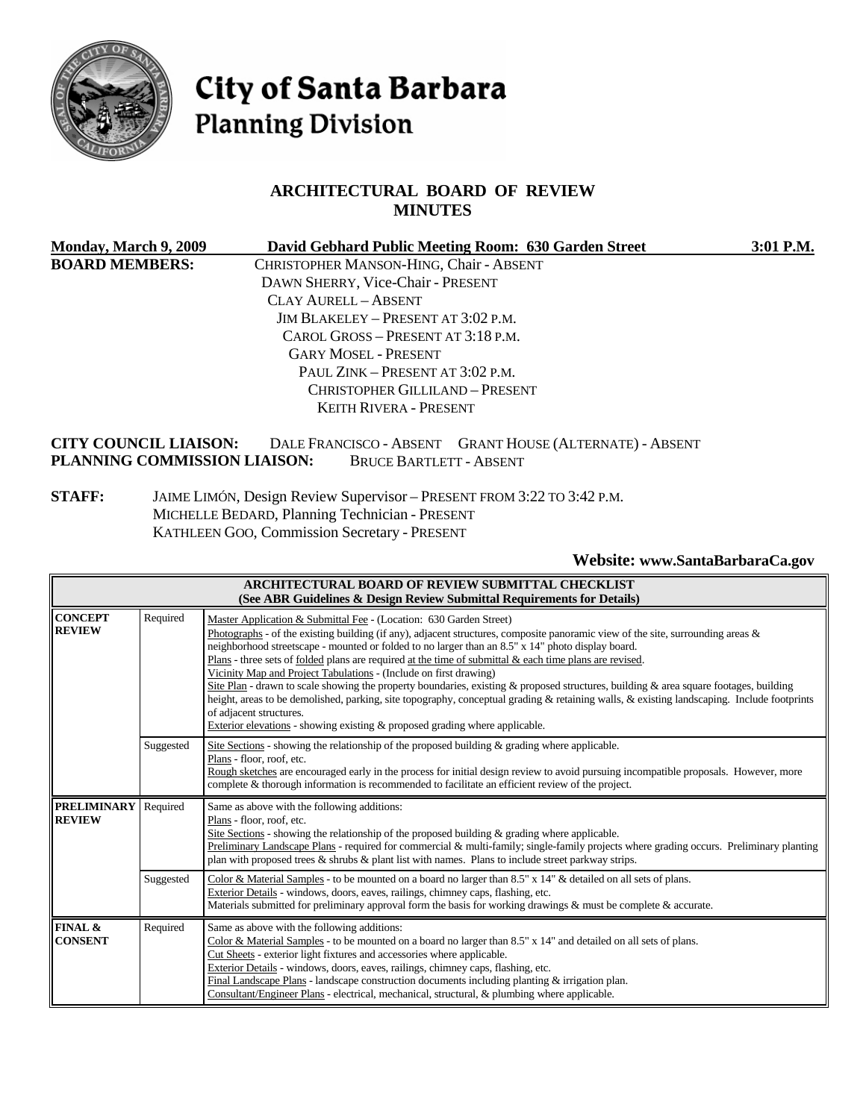

# City of Santa Barbara **Planning Division**

#### **ARCHITECTURAL BOARD OF REVIEW MINUTES**

| Monday, March 9, 2009        | David Gebhard Public Meeting Room: 630 Garden Street     | 3:01 P.M. |
|------------------------------|----------------------------------------------------------|-----------|
| <b>BOARD MEMBERS:</b>        | CHRISTOPHER MANSON-HING, Chair - ABSENT                  |           |
|                              | DAWN SHERRY, Vice-Chair - PRESENT                        |           |
|                              | CLAY AURELL - ABSENT                                     |           |
|                              | JIM BLAKELEY – PRESENT AT 3:02 P.M.                      |           |
|                              | CAROL GROSS – PRESENT AT 3:18 P.M.                       |           |
|                              | <b>GARY MOSEL - PRESENT</b>                              |           |
|                              | PAUL ZINK – PRESENT AT 3:02 P.M.                         |           |
|                              | CHRISTOPHER GILLILAND - PRESENT                          |           |
|                              | KEITH RIVERA - PRESENT                                   |           |
| <b>CITY COUNCIL LIAISON:</b> | DALE FRANCISCO - ABSENT GRANT HOUSE (ALTERNATE) - ABSENT |           |
| PLANNING COMMISSION LIAISON: | <b>BRUCE BARTLETT - ABSENT</b>                           |           |

**STAFF:** JAIME LIMÓN, Design Review Supervisor – PRESENT FROM 3:22 TO 3:42 P.M. MICHELLE BEDARD, Planning Technician - PRESENT KATHLEEN GOO, Commission Secretary - PRESENT

**Website: [www.SantaBarbaraCa.gov](http://www.santabarbaraca.gov/)** 

|                                     |           | <b>ARCHITECTURAL BOARD OF REVIEW SUBMITTAL CHECKLIST</b><br>(See ABR Guidelines & Design Review Submittal Requirements for Details)                                                                                                                                                                                                                                                                                                                                                                                                                                                                                                                                                                                                                                                                                                                                                         |
|-------------------------------------|-----------|---------------------------------------------------------------------------------------------------------------------------------------------------------------------------------------------------------------------------------------------------------------------------------------------------------------------------------------------------------------------------------------------------------------------------------------------------------------------------------------------------------------------------------------------------------------------------------------------------------------------------------------------------------------------------------------------------------------------------------------------------------------------------------------------------------------------------------------------------------------------------------------------|
| <b>CONCEPT</b><br><b>REVIEW</b>     | Required  | Master Application & Submittal Fee - (Location: 630 Garden Street)<br>Photographs - of the existing building (if any), adjacent structures, composite panoramic view of the site, surrounding areas &<br>neighborhood streetscape - mounted or folded to no larger than an 8.5" x 14" photo display board.<br>Plans - three sets of folded plans are required at the time of submittal & each time plans are revised.<br>Vicinity Map and Project Tabulations - (Include on first drawing)<br>Site Plan - drawn to scale showing the property boundaries, existing & proposed structures, building & area square footages, building<br>height, areas to be demolished, parking, site topography, conceptual grading & retaining walls, & existing landscaping. Include footprints<br>of adjacent structures.<br>Exterior elevations - showing existing & proposed grading where applicable. |
|                                     | Suggested | Site Sections - showing the relationship of the proposed building $\&$ grading where applicable.<br>Plans - floor, roof, etc.<br>Rough sketches are encouraged early in the process for initial design review to avoid pursuing incompatible proposals. However, more<br>complete & thorough information is recommended to facilitate an efficient review of the project.                                                                                                                                                                                                                                                                                                                                                                                                                                                                                                                   |
| <b>PRELIMINARY</b><br><b>REVIEW</b> | Required  | Same as above with the following additions:<br>Plans - floor, roof, etc.<br>Site Sections - showing the relationship of the proposed building $\&$ grading where applicable.<br>Preliminary Landscape Plans - required for commercial & multi-family; single-family projects where grading occurs. Preliminary planting<br>plan with proposed trees $\&$ shrubs $\&$ plant list with names. Plans to include street parkway strips.                                                                                                                                                                                                                                                                                                                                                                                                                                                         |
|                                     | Suggested | Color & Material Samples - to be mounted on a board no larger than 8.5" x 14" & detailed on all sets of plans.<br>Exterior Details - windows, doors, eaves, railings, chimney caps, flashing, etc.<br>Materials submitted for preliminary approval form the basis for working drawings & must be complete & accurate.                                                                                                                                                                                                                                                                                                                                                                                                                                                                                                                                                                       |
| FINAL &<br><b>CONSENT</b>           | Required  | Same as above with the following additions:<br>Color & Material Samples - to be mounted on a board no larger than $8.5" \times 14"$ and detailed on all sets of plans.<br>Cut Sheets - exterior light fixtures and accessories where applicable.<br>Exterior Details - windows, doors, eaves, railings, chimney caps, flashing, etc.<br>Final Landscape Plans - landscape construction documents including planting $\&$ irrigation plan.<br>Consultant/Engineer Plans - electrical, mechanical, structural, & plumbing where applicable.                                                                                                                                                                                                                                                                                                                                                   |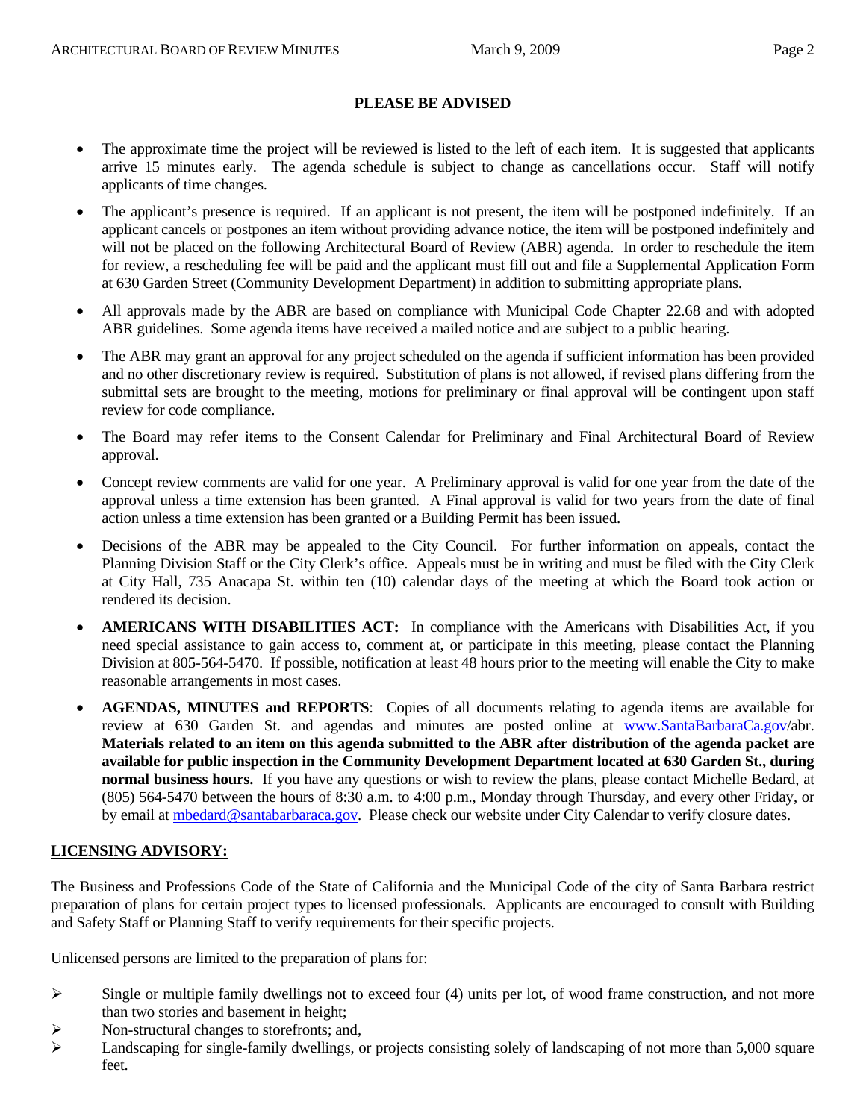#### **PLEASE BE ADVISED**

- The approximate time the project will be reviewed is listed to the left of each item. It is suggested that applicants arrive 15 minutes early. The agenda schedule is subject to change as cancellations occur. Staff will notify applicants of time changes.
- The applicant's presence is required. If an applicant is not present, the item will be postponed indefinitely. If an applicant cancels or postpones an item without providing advance notice, the item will be postponed indefinitely and will not be placed on the following Architectural Board of Review (ABR) agenda. In order to reschedule the item for review, a rescheduling fee will be paid and the applicant must fill out and file a Supplemental Application Form at 630 Garden Street (Community Development Department) in addition to submitting appropriate plans.
- All approvals made by the ABR are based on compliance with Municipal Code Chapter 22.68 and with adopted ABR guidelines. Some agenda items have received a mailed notice and are subject to a public hearing.
- The ABR may grant an approval for any project scheduled on the agenda if sufficient information has been provided and no other discretionary review is required. Substitution of plans is not allowed, if revised plans differing from the submittal sets are brought to the meeting, motions for preliminary or final approval will be contingent upon staff review for code compliance.
- The Board may refer items to the Consent Calendar for Preliminary and Final Architectural Board of Review approval.
- Concept review comments are valid for one year. A Preliminary approval is valid for one year from the date of the approval unless a time extension has been granted. A Final approval is valid for two years from the date of final action unless a time extension has been granted or a Building Permit has been issued.
- Decisions of the ABR may be appealed to the City Council. For further information on appeals, contact the Planning Division Staff or the City Clerk's office. Appeals must be in writing and must be filed with the City Clerk at City Hall, 735 Anacapa St. within ten (10) calendar days of the meeting at which the Board took action or rendered its decision.
- **AMERICANS WITH DISABILITIES ACT:** In compliance with the Americans with Disabilities Act, if you need special assistance to gain access to, comment at, or participate in this meeting, please contact the Planning Division at 805-564-5470. If possible, notification at least 48 hours prior to the meeting will enable the City to make reasonable arrangements in most cases.
- **AGENDAS, MINUTES and REPORTS**: Copies of all documents relating to agenda items are available for review at 630 Garden St. and agendas and minutes are posted online at [www.SantaBarbaraCa.gov/](http://www.santabarbaraca.gov/)abr. **Materials related to an item on this agenda submitted to the ABR after distribution of the agenda packet are available for public inspection in the Community Development Department located at 630 Garden St., during normal business hours.** If you have any questions or wish to review the plans, please contact Michelle Bedard, at (805) 564-5470 between the hours of 8:30 a.m. to 4:00 p.m., Monday through Thursday, and every other Friday, or by email at [mbedard@santabarbaraca.gov](mailto:mbedard@santabarbaraca.gov). Please check our website under City Calendar to verify closure dates.

#### **LICENSING ADVISORY:**

The Business and Professions Code of the State of California and the Municipal Code of the city of Santa Barbara restrict preparation of plans for certain project types to licensed professionals. Applicants are encouraged to consult with Building and Safety Staff or Planning Staff to verify requirements for their specific projects.

Unlicensed persons are limited to the preparation of plans for:

- $\triangleright$  Single or multiple family dwellings not to exceed four (4) units per lot, of wood frame construction, and not more than two stories and basement in height;
- $\triangleright$  Non-structural changes to storefronts; and,
- $\blacktriangleright$  Landscaping for single-family dwellings, or projects consisting solely of landscaping of not more than 5,000 square feet.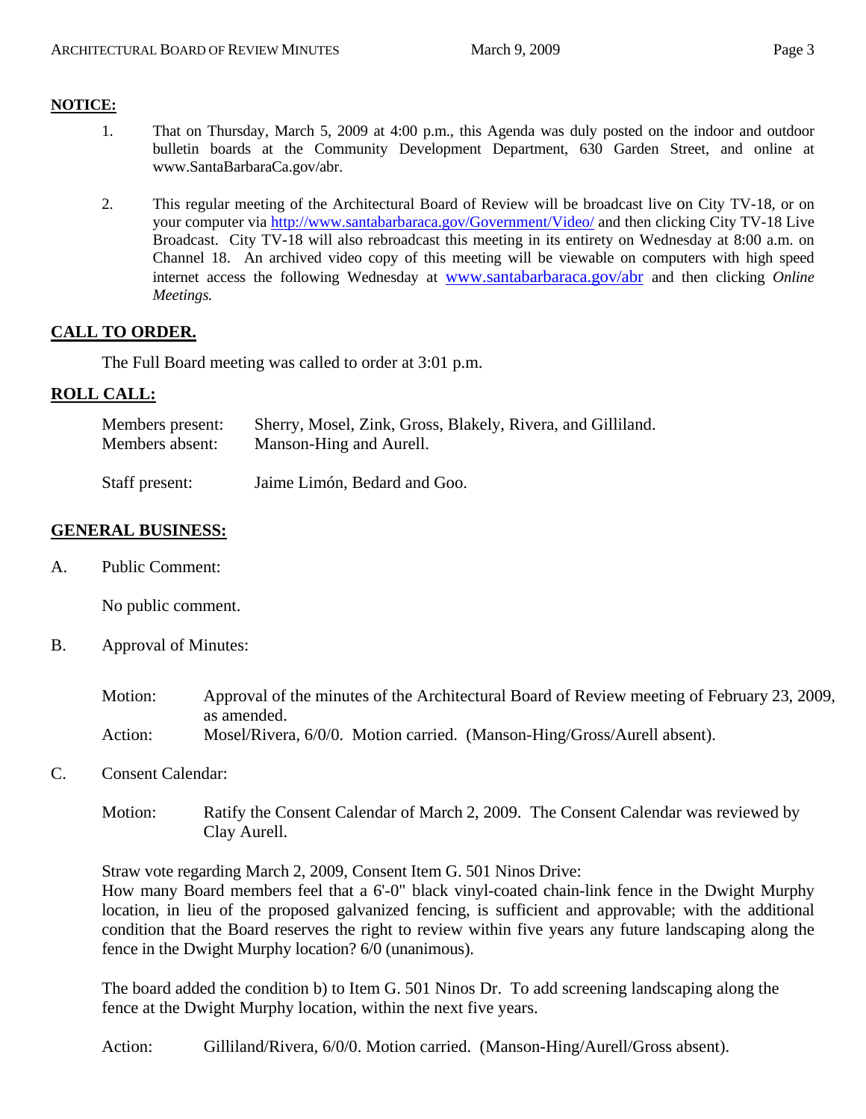#### **NOTICE:**

- 1. That on Thursday, March 5, 2009 at 4:00 p.m., this Agenda was duly posted on the indoor and outdoor bulletin boards at the Community Development Department, 630 Garden Street, and online at [www.SantaBarbaraCa.gov/abr.](http://www.santabarbaraca.gov/abr)
- 2. This regular meeting of the Architectural Board of Review will be broadcast live on City TV-18, or on your computer via <http://www.santabarbaraca.gov/Government/Video/> and then clicking City TV-18 Live Broadcast. City TV-18 will also rebroadcast this meeting in its entirety on Wednesday at 8:00 a.m. on Channel 18. An archived video copy of this meeting will be viewable on computers with high speed internet access the following Wednesday at [www.santabarbaraca.gov/abr](http://www.santabarbaraca.gov/abr) and then clicking *Online Meetings.*

# **CALL TO ORDER.**

The Full Board meeting was called to order at 3:01 p.m.

# **ROLL CALL:**

| Members present: | Sherry, Mosel, Zink, Gross, Blakely, Rivera, and Gilliland. |
|------------------|-------------------------------------------------------------|
| Members absent:  | Manson-Hing and Aurell.                                     |
|                  |                                                             |

Staff present: Jaime Limón, Bedard and Goo.

# **GENERAL BUSINESS:**

A. Public Comment:

No public comment.

- B. Approval of Minutes:
	- Motion: Approval of the minutes of the Architectural Board of Review meeting of February 23, 2009, as amended. Action: Mosel/Rivera, 6/0/0. Motion carried. (Manson-Hing/Gross/Aurell absent).
- C. Consent Calendar:
	- Motion: Ratify the Consent Calendar of March 2, 2009. The Consent Calendar was reviewed by Clay Aurell.

Straw vote regarding March 2, 2009, Consent Item G. 501 Ninos Drive:

How many Board members feel that a 6'-0" black vinyl-coated chain-link fence in the Dwight Murphy location, in lieu of the proposed galvanized fencing, is sufficient and approvable; with the additional condition that the Board reserves the right to review within five years any future landscaping along the fence in the Dwight Murphy location? 6/0 (unanimous).

The board added the condition b) to Item G. 501 Ninos Dr. To add screening landscaping along the fence at the Dwight Murphy location, within the next five years.

Action: Gilliland/Rivera, 6/0/0. Motion carried. (Manson-Hing/Aurell/Gross absent).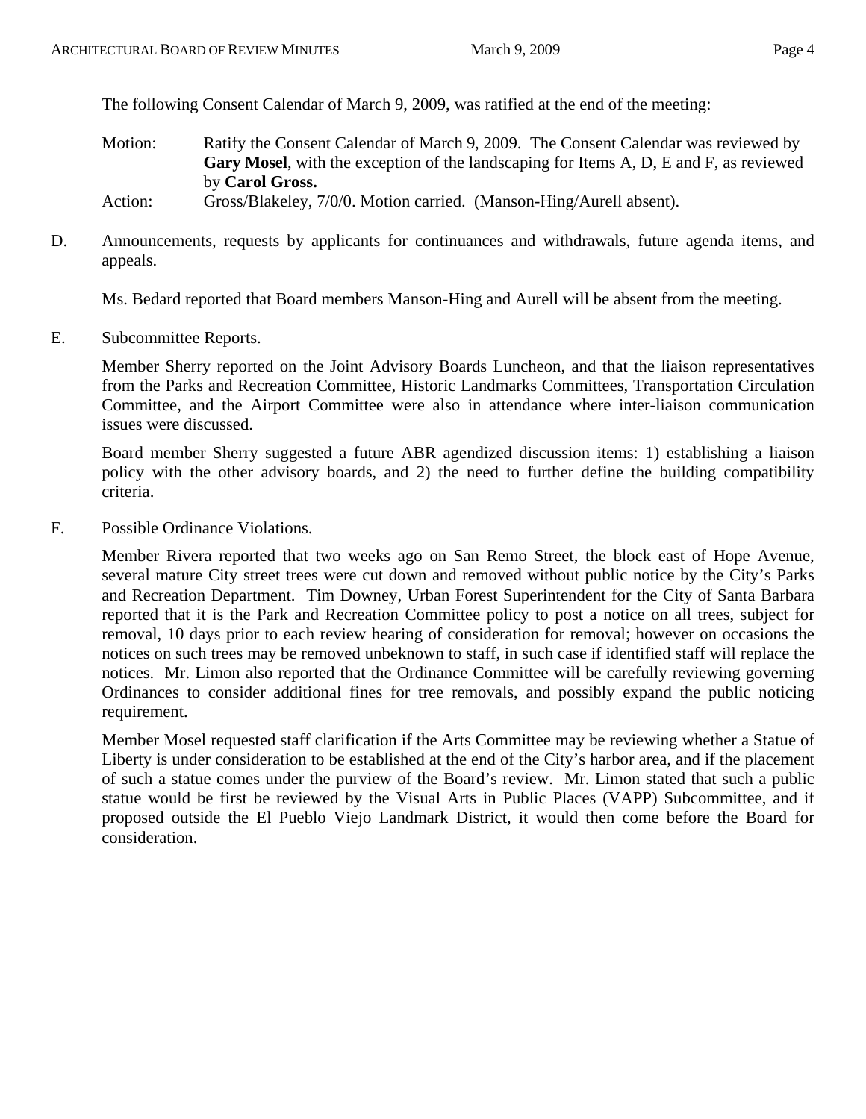The following Consent Calendar of March 9, 2009, was ratified at the end of the meeting:

Motion: Ratify the Consent Calendar of March 9, 2009. The Consent Calendar was reviewed by **Gary Mosel**, with the exception of the landscaping for Items A, D, E and F, as reviewed by **Carol Gross.**

Action: Gross/Blakeley, 7/0/0. Motion carried. (Manson-Hing/Aurell absent).

D. Announcements, requests by applicants for continuances and withdrawals, future agenda items, and appeals.

Ms. Bedard reported that Board members Manson-Hing and Aurell will be absent from the meeting.

E. Subcommittee Reports.

Member Sherry reported on the Joint Advisory Boards Luncheon, and that the liaison representatives from the Parks and Recreation Committee, Historic Landmarks Committees, Transportation Circulation Committee, and the Airport Committee were also in attendance where inter-liaison communication issues were discussed.

Board member Sherry suggested a future ABR agendized discussion items: 1) establishing a liaison policy with the other advisory boards, and 2) the need to further define the building compatibility criteria.

F. Possible Ordinance Violations.

Member Rivera reported that two weeks ago on San Remo Street, the block east of Hope Avenue, several mature City street trees were cut down and removed without public notice by the City's Parks and Recreation Department. Tim Downey, Urban Forest Superintendent for the City of Santa Barbara reported that it is the Park and Recreation Committee policy to post a notice on all trees, subject for removal, 10 days prior to each review hearing of consideration for removal; however on occasions the notices on such trees may be removed unbeknown to staff, in such case if identified staff will replace the notices. Mr. Limon also reported that the Ordinance Committee will be carefully reviewing governing Ordinances to consider additional fines for tree removals, and possibly expand the public noticing requirement.

Member Mosel requested staff clarification if the Arts Committee may be reviewing whether a Statue of Liberty is under consideration to be established at the end of the City's harbor area, and if the placement of such a statue comes under the purview of the Board's review. Mr. Limon stated that such a public statue would be first be reviewed by the Visual Arts in Public Places (VAPP) Subcommittee, and if proposed outside the El Pueblo Viejo Landmark District, it would then come before the Board for consideration.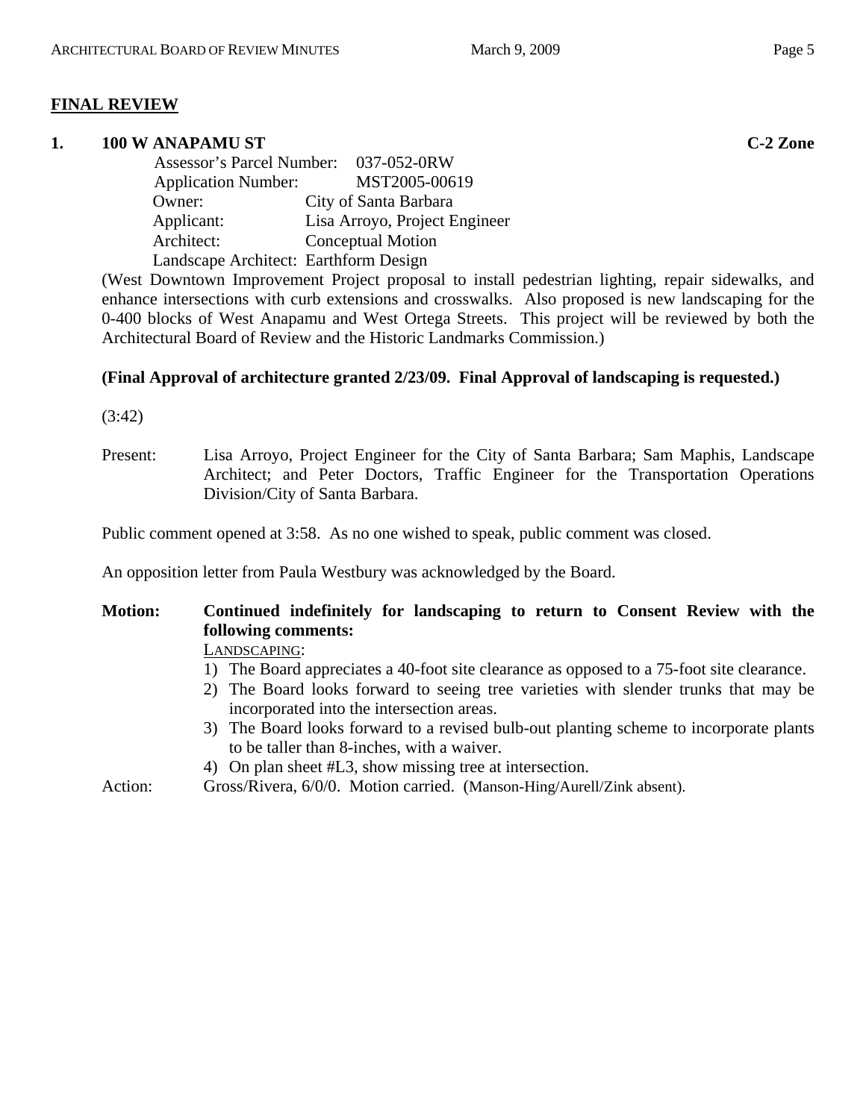#### **FINAL REVIEW**

#### **1. 100 W ANAPAMU ST C-2 Zone**

|                                       | Assessor's Parcel Number: 037-052-0RW |
|---------------------------------------|---------------------------------------|
| <b>Application Number:</b>            | MST2005-00619                         |
| Owner:                                | City of Santa Barbara                 |
| Applicant:                            | Lisa Arroyo, Project Engineer         |
| Architect:                            | <b>Conceptual Motion</b>              |
| Landscape Architect: Earthform Design |                                       |

(West Downtown Improvement Project proposal to install pedestrian lighting, repair sidewalks, and enhance intersections with curb extensions and crosswalks. Also proposed is new landscaping for the 0-400 blocks of West Anapamu and West Ortega Streets. This project will be reviewed by both the Architectural Board of Review and the Historic Landmarks Commission.)

#### **(Final Approval of architecture granted 2/23/09. Final Approval of landscaping is requested.)**

(3:42)

Present: Lisa Arroyo, Project Engineer for the City of Santa Barbara; Sam Maphis, Landscape Architect; and Peter Doctors, Traffic Engineer for the Transportation Operations Division/City of Santa Barbara.

Public comment opened at 3:58. As no one wished to speak, public comment was closed.

An opposition letter from Paula Westbury was acknowledged by the Board.

# **Motion: Continued indefinitely for landscaping to return to Consent Review with the following comments:**

LANDSCAPING:

- 1) The Board appreciates a 40-foot site clearance as opposed to a 75-foot site clearance.
- 2) The Board looks forward to seeing tree varieties with slender trunks that may be incorporated into the intersection areas.
- 3) The Board looks forward to a revised bulb-out planting scheme to incorporate plants to be taller than 8-inches, with a waiver.
- 4) On plan sheet #L3, show missing tree at intersection.

Action: Gross/Rivera, 6/0/0. Motion carried. (Manson-Hing/Aurell/Zink absent).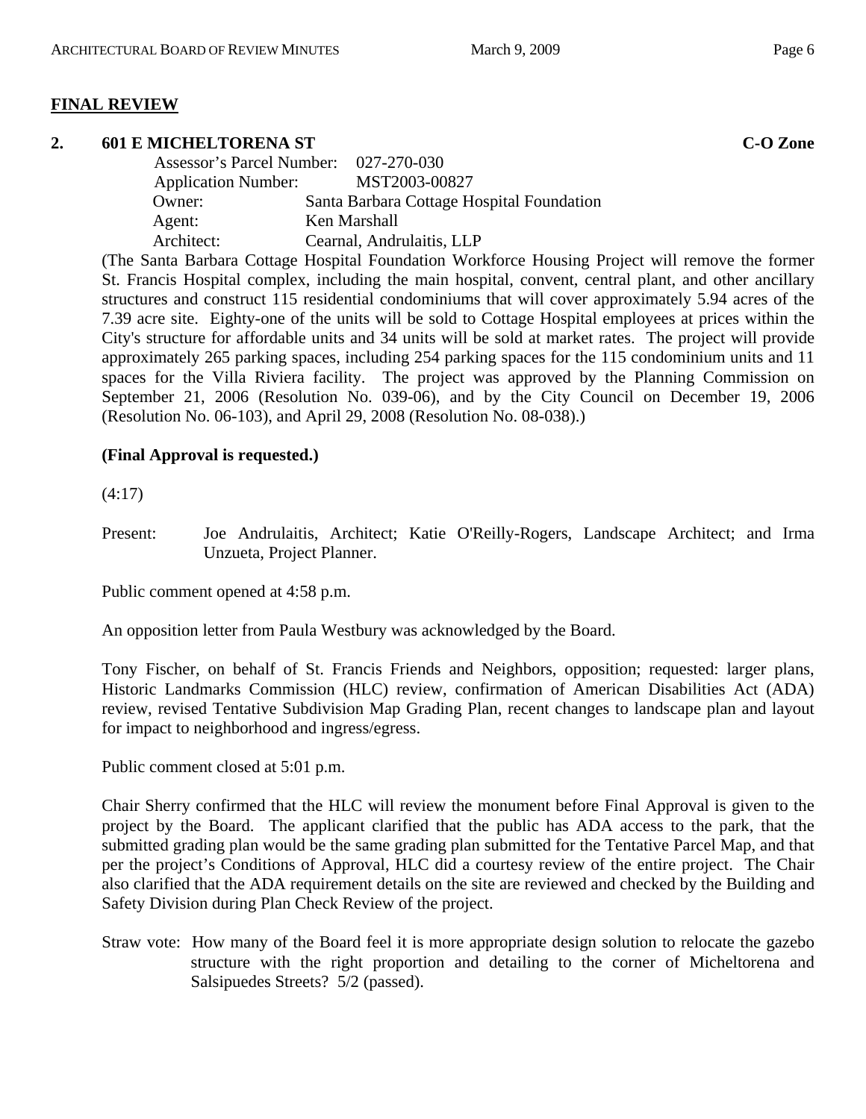#### **FINAL REVIEW**

#### **2.** 601 E MICHELTORENA ST **C-O** Zone

| Assessor's Parcel Number: 027-270-030 |                                           |
|---------------------------------------|-------------------------------------------|
| <b>Application Number:</b>            | MST2003-00827                             |
| Owner:                                | Santa Barbara Cottage Hospital Foundation |
| Agent:                                | Ken Marshall                              |
| Architect:                            | Cearnal, Andrulaitis, LLP                 |
|                                       |                                           |

(The Santa Barbara Cottage Hospital Foundation Workforce Housing Project will remove the former St. Francis Hospital complex, including the main hospital, convent, central plant, and other ancillary structures and construct 115 residential condominiums that will cover approximately 5.94 acres of the 7.39 acre site. Eighty-one of the units will be sold to Cottage Hospital employees at prices within the City's structure for affordable units and 34 units will be sold at market rates. The project will provide approximately 265 parking spaces, including 254 parking spaces for the 115 condominium units and 11 spaces for the Villa Riviera facility. The project was approved by the Planning Commission on September 21, 2006 (Resolution No. 039-06), and by the City Council on December 19, 2006 (Resolution No. 06-103), and April 29, 2008 (Resolution No. 08-038).)

#### **(Final Approval is requested.)**

(4:17)

Present: Joe Andrulaitis, Architect; Katie O'Reilly-Rogers, Landscape Architect; and Irma Unzueta, Project Planner.

Public comment opened at 4:58 p.m.

An opposition letter from Paula Westbury was acknowledged by the Board.

Tony Fischer, on behalf of St. Francis Friends and Neighbors, opposition; requested: larger plans, Historic Landmarks Commission (HLC) review, confirmation of American Disabilities Act (ADA) review, revised Tentative Subdivision Map Grading Plan, recent changes to landscape plan and layout for impact to neighborhood and ingress/egress.

Public comment closed at 5:01 p.m.

Chair Sherry confirmed that the HLC will review the monument before Final Approval is given to the project by the Board. The applicant clarified that the public has ADA access to the park, that the submitted grading plan would be the same grading plan submitted for the Tentative Parcel Map, and that per the project's Conditions of Approval, HLC did a courtesy review of the entire project. The Chair also clarified that the ADA requirement details on the site are reviewed and checked by the Building and Safety Division during Plan Check Review of the project.

Straw vote: How many of the Board feel it is more appropriate design solution to relocate the gazebo structure with the right proportion and detailing to the corner of Micheltorena and Salsipuedes Streets? 5/2 (passed).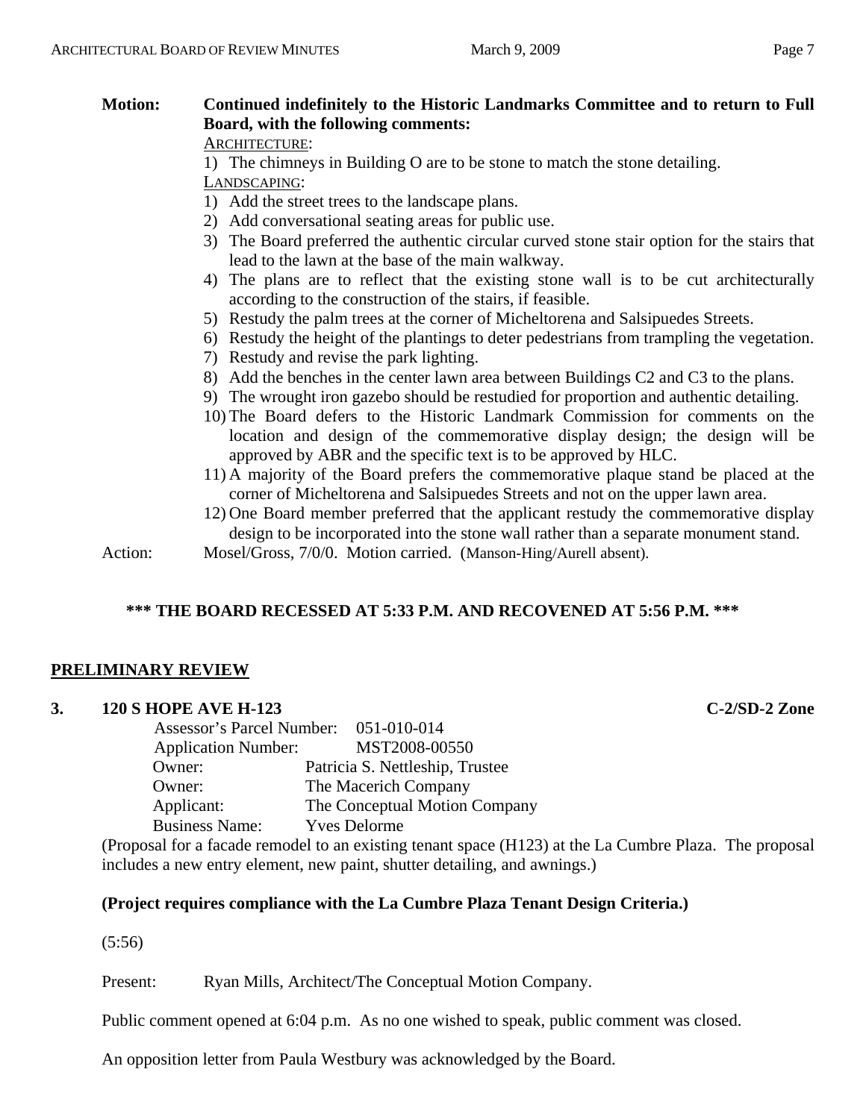# **Motion: Continued indefinitely to the Historic Landmarks Committee and to return to Full Board, with the following comments:**

# ARCHITECTURE:

1) The chimneys in Building O are to be stone to match the stone detailing.

LANDSCAPING:

- 1) Add the street trees to the landscape plans.
- 2) Add conversational seating areas for public use.
- 3) The Board preferred the authentic circular curved stone stair option for the stairs that lead to the lawn at the base of the main walkway.
- 4) The plans are to reflect that the existing stone wall is to be cut architecturally according to the construction of the stairs, if feasible.
- 5) Restudy the palm trees at the corner of Micheltorena and Salsipuedes Streets.
- 6) Restudy the height of the plantings to deter pedestrians from trampling the vegetation.
- 7) Restudy and revise the park lighting.
- 8) Add the benches in the center lawn area between Buildings C2 and C3 to the plans.
- 9) The wrought iron gazebo should be restudied for proportion and authentic detailing.
- 10) The Board defers to the Historic Landmark Commission for comments on the location and design of the commemorative display design; the design will be approved by ABR and the specific text is to be approved by HLC.
- 11) A majority of the Board prefers the commemorative plaque stand be placed at the corner of Micheltorena and Salsipuedes Streets and not on the upper lawn area.
- 12) One Board member preferred that the applicant restudy the commemorative display design to be incorporated into the stone wall rather than a separate monument stand.

Action: Mosel/Gross, 7/0/0. Motion carried. (Manson-Hing/Aurell absent).

# **\*\*\* THE BOARD RECESSED AT 5:33 P.M. AND RECOVENED AT 5:56 P.M. \*\*\***

#### **PRELIMINARY REVIEW**

#### **3. 120 S HOPE AVE H-123 C-2/SD-2 Zone**

 Assessor's Parcel Number: 051-010-014 Application Number: MST2008-00550 Owner: Patricia S. Nettleship, Trustee Owner: The Macerich Company Applicant: The Conceptual Motion Company Business Name: Yves Delorme

(Proposal for a facade remodel to an existing tenant space (H123) at the La Cumbre Plaza. The proposal includes a new entry element, new paint, shutter detailing, and awnings.)

#### **(Project requires compliance with the La Cumbre Plaza Tenant Design Criteria.)**

(5:56)

Present: Ryan Mills, Architect/The Conceptual Motion Company.

Public comment opened at 6:04 p.m. As no one wished to speak, public comment was closed.

An opposition letter from Paula Westbury was acknowledged by the Board.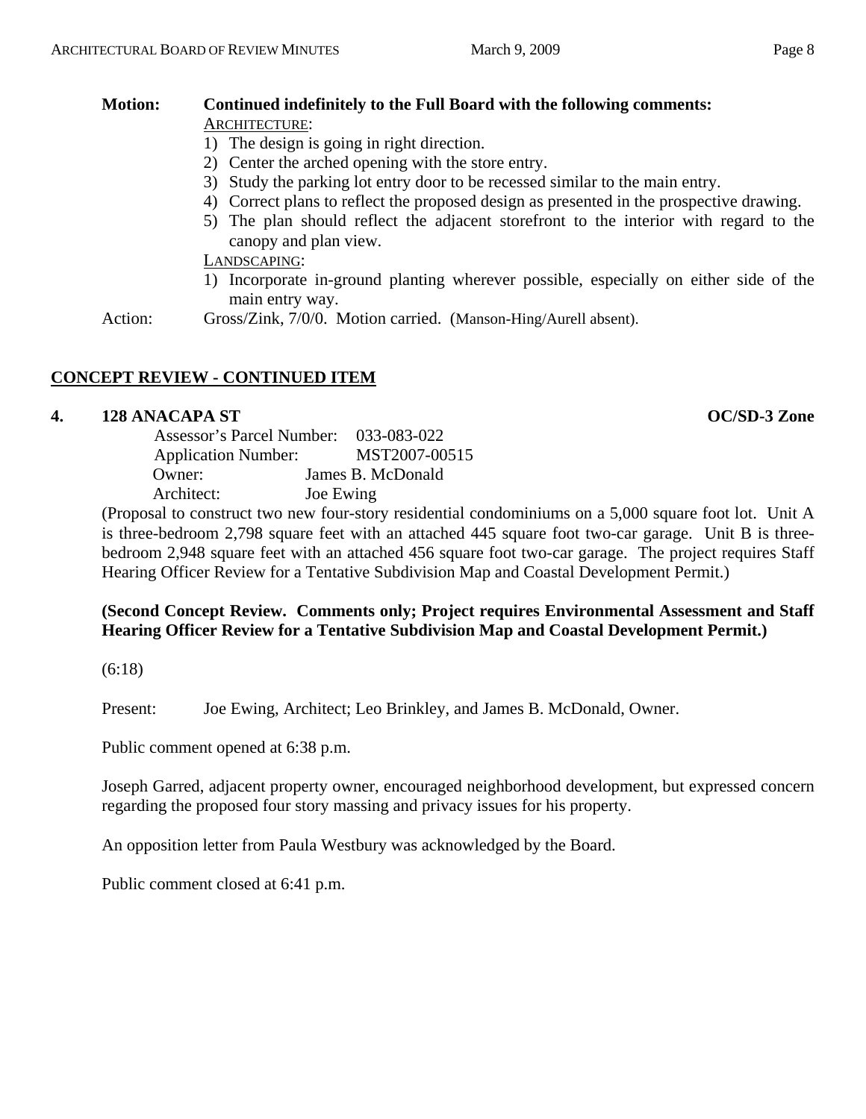#### **Motion: Continued indefinitely to the Full Board with the following comments:**  ARCHITECTURE:

- 1) The design is going in right direction.
- 2) Center the arched opening with the store entry.
- 3) Study the parking lot entry door to be recessed similar to the main entry.
- 4) Correct plans to reflect the proposed design as presented in the prospective drawing.
- 5) The plan should reflect the adjacent storefront to the interior with regard to the canopy and plan view.

LANDSCAPING:

- 1) Incorporate in-ground planting wherever possible, especially on either side of the main entry way.
- Action: Gross/Zink, 7/0/0. Motion carried. (Manson-Hing/Aurell absent).

# **CONCEPT REVIEW - CONTINUED ITEM**

#### **4. 128 ANACAPA ST OC/SD-3 Zone**

| Assessor's Parcel Number:  | 033-083-022       |
|----------------------------|-------------------|
| <b>Application Number:</b> | MST2007-00515     |
| Owner:                     | James B. McDonald |
| Architect:                 | Joe Ewing         |

(Proposal to construct two new four-story residential condominiums on a 5,000 square foot lot. Unit A is three-bedroom 2,798 square feet with an attached 445 square foot two-car garage. Unit B is threebedroom 2,948 square feet with an attached 456 square foot two-car garage. The project requires Staff Hearing Officer Review for a Tentative Subdivision Map and Coastal Development Permit.)

#### **(Second Concept Review. Comments only; Project requires Environmental Assessment and Staff Hearing Officer Review for a Tentative Subdivision Map and Coastal Development Permit.)**

(6:18)

Present: Joe Ewing, Architect; Leo Brinkley, and James B. McDonald, Owner.

Public comment opened at 6:38 p.m.

Joseph Garred, adjacent property owner, encouraged neighborhood development, but expressed concern regarding the proposed four story massing and privacy issues for his property.

An opposition letter from Paula Westbury was acknowledged by the Board.

Public comment closed at 6:41 p.m.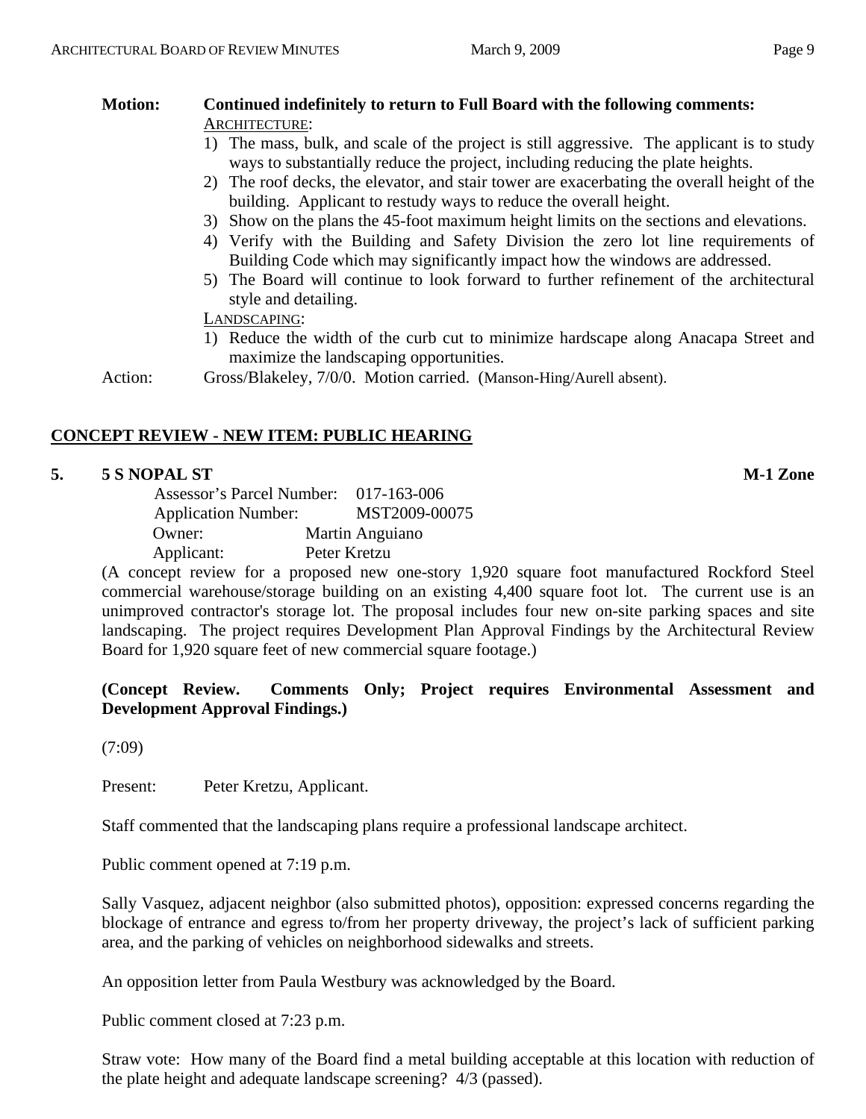# **Motion: Continued indefinitely to return to Full Board with the following comments:**  ARCHITECTURE:

- 1) The mass, bulk, and scale of the project is still aggressive. The applicant is to study ways to substantially reduce the project, including reducing the plate heights.
- 2) The roof decks, the elevator, and stair tower are exacerbating the overall height of the building. Applicant to restudy ways to reduce the overall height.
- 3) Show on the plans the 45-foot maximum height limits on the sections and elevations.
- 4) Verify with the Building and Safety Division the zero lot line requirements of Building Code which may significantly impact how the windows are addressed.
- 5) The Board will continue to look forward to further refinement of the architectural style and detailing.

LANDSCAPING:

1) Reduce the width of the curb cut to minimize hardscape along Anacapa Street and maximize the landscaping opportunities.

Action: Gross/Blakeley, 7/0/0. Motion carried. (Manson-Hing/Aurell absent).

# **CONCEPT REVIEW - NEW ITEM: PUBLIC HEARING**

# **5. 5 S NOPAL ST M-1 Zone**

| Assessor's Parcel Number: 017-163-006 |                 |
|---------------------------------------|-----------------|
| <b>Application Number:</b>            | MST2009-00075   |
| Owner:                                | Martin Anguiano |
| Applicant:                            | Peter Kretzu    |

(A concept review for a proposed new one-story 1,920 square foot manufactured Rockford Steel commercial warehouse/storage building on an existing 4,400 square foot lot. The current use is an unimproved contractor's storage lot. The proposal includes four new on-site parking spaces and site landscaping. The project requires Development Plan Approval Findings by the Architectural Review Board for 1,920 square feet of new commercial square footage.)

#### **(Concept Review. Comments Only; Project requires Environmental Assessment and Development Approval Findings.)**

(7:09)

Present: Peter Kretzu, Applicant.

Staff commented that the landscaping plans require a professional landscape architect.

Public comment opened at 7:19 p.m.

Sally Vasquez, adjacent neighbor (also submitted photos), opposition: expressed concerns regarding the blockage of entrance and egress to/from her property driveway, the project's lack of sufficient parking area, and the parking of vehicles on neighborhood sidewalks and streets.

An opposition letter from Paula Westbury was acknowledged by the Board.

Public comment closed at 7:23 p.m.

Straw vote: How many of the Board find a metal building acceptable at this location with reduction of the plate height and adequate landscape screening? 4/3 (passed).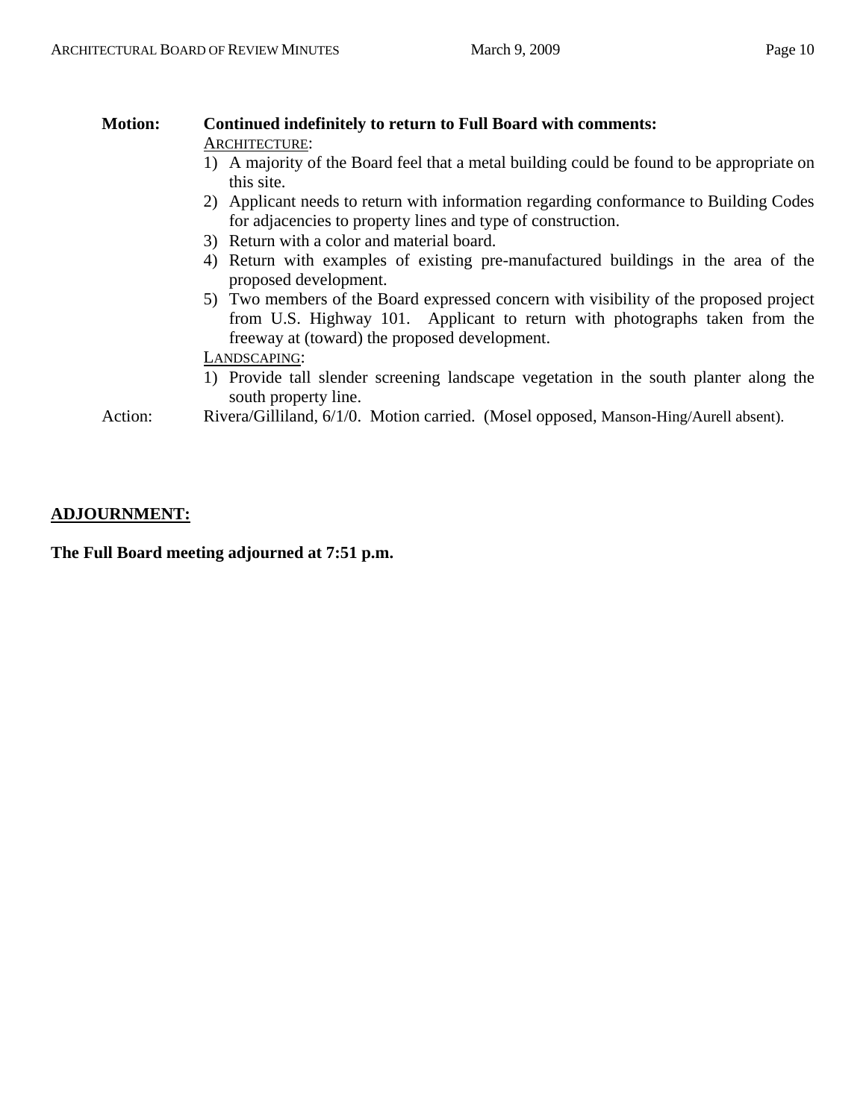#### **Motion: Continued indefinitely to return to Full Board with comments:**  ARCHITECTURE: 1) A majority of the Board feel that a metal building could be found to be appropriate on this site. 2) Applicant needs to return with information regarding conformance to Building Codes for adjacencies to property lines and type of construction. 3) Return with a color and material board. 4) Return with examples of existing pre-manufactured buildings in the area of the proposed development. 5) Two members of the Board expressed concern with visibility of the proposed project from U.S. Highway 101. Applicant to return with photographs taken from the freeway at (toward) the proposed development. LANDSCAPING:

1) Provide tall slender screening landscape vegetation in the south planter along the south property line.

Action: Rivera/Gilliland, 6/1/0. Motion carried. (Mosel opposed, Manson-Hing/Aurell absent).

#### **ADJOURNMENT:**

**The Full Board meeting adjourned at 7:51 p.m.**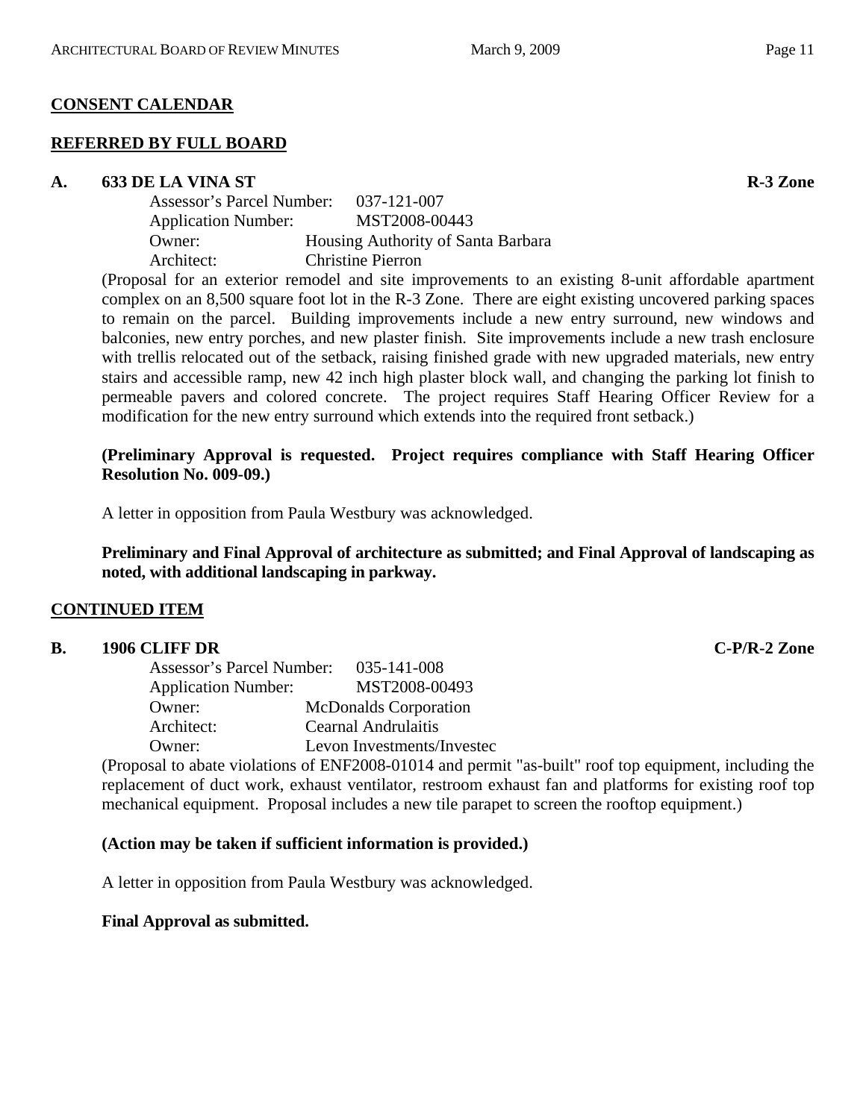# **CONSENT CALENDAR**

# **REFERRED BY FULL BOARD**

#### A. 633 DE LA VINA ST **R-3 Zone**

| Assessor's Parcel Number:  | 037-121-007                        |
|----------------------------|------------------------------------|
| <b>Application Number:</b> | MST2008-00443                      |
| Owner:                     | Housing Authority of Santa Barbara |
| Architect:                 | <b>Christine Pierron</b>           |
|                            |                                    |

(Proposal for an exterior remodel and site improvements to an existing 8-unit affordable apartment complex on an 8,500 square foot lot in the R-3 Zone. There are eight existing uncovered parking spaces to remain on the parcel. Building improvements include a new entry surround, new windows and balconies, new entry porches, and new plaster finish. Site improvements include a new trash enclosure with trellis relocated out of the setback, raising finished grade with new upgraded materials, new entry stairs and accessible ramp, new 42 inch high plaster block wall, and changing the parking lot finish to permeable pavers and colored concrete. The project requires Staff Hearing Officer Review for a modification for the new entry surround which extends into the required front setback.)

#### **(Preliminary Approval is requested. Project requires compliance with Staff Hearing Officer Resolution No. 009-09.)**

A letter in opposition from Paula Westbury was acknowledged.

**Preliminary and Final Approval of architecture as submitted; and Final Approval of landscaping as noted, with additional landscaping in parkway.** 

# **CONTINUED ITEM**

# **B. 1906 CLIFF DR C-P/R-2 Zone**

| Assessor's Parcel Number:  | 035-141-008                  |
|----------------------------|------------------------------|
| <b>Application Number:</b> | MST2008-00493                |
| Owner:                     | <b>McDonalds Corporation</b> |
| Architect:                 | Cearnal Andrulaitis          |
| Owner:                     | Levon Investments/Invested   |

(Proposal to abate violations of ENF2008-01014 and permit "as-built" roof top equipment, including the replacement of duct work, exhaust ventilator, restroom exhaust fan and platforms for existing roof top mechanical equipment. Proposal includes a new tile parapet to screen the rooftop equipment.)

# **(Action may be taken if sufficient information is provided.)**

A letter in opposition from Paula Westbury was acknowledged.

# **Final Approval as submitted.**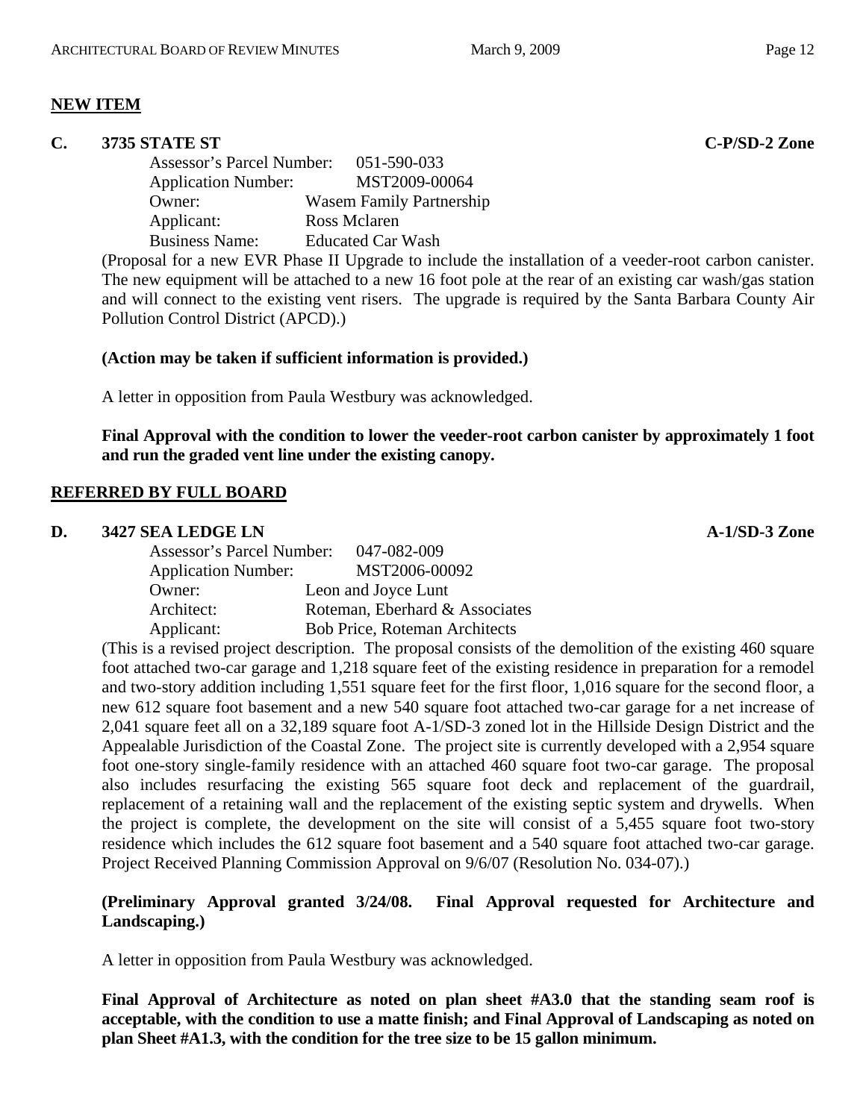# **NEW ITEM**

#### **C. 3735 STATE ST C-P/SD-2 Zone**

Assessor's Parcel Number: 051-590-033 Application Number: MST2009-00064 Owner: Wasem Family Partnership Applicant: Ross Mclaren Business Name: Educated Car Wash

(Proposal for a new EVR Phase II Upgrade to include the installation of a veeder-root carbon canister. The new equipment will be attached to a new 16 foot pole at the rear of an existing car wash/gas station and will connect to the existing vent risers. The upgrade is required by the Santa Barbara County Air Pollution Control District (APCD).)

#### **(Action may be taken if sufficient information is provided.)**

A letter in opposition from Paula Westbury was acknowledged.

**Final Approval with the condition to lower the veeder-root carbon canister by approximately 1 foot and run the graded vent line under the existing canopy.** 

#### **REFERRED BY FULL BOARD**

#### **D.** 3427 SEA LEDGE LN **A-1/SD-3** Zone

| Assessor's Parcel Number:  | 047-082-009                          |
|----------------------------|--------------------------------------|
| <b>Application Number:</b> | MST2006-00092                        |
| Owner:                     | Leon and Joyce Lunt                  |
| Architect:                 | Roteman, Eberhard & Associates       |
| Applicant:                 | <b>Bob Price, Roteman Architects</b> |
|                            |                                      |

(This is a revised project description. The proposal consists of the demolition of the existing 460 square foot attached two-car garage and 1,218 square feet of the existing residence in preparation for a remodel and two-story addition including 1,551 square feet for the first floor, 1,016 square for the second floor, a new 612 square foot basement and a new 540 square foot attached two-car garage for a net increase of 2,041 square feet all on a 32,189 square foot A-1/SD-3 zoned lot in the Hillside Design District and the Appealable Jurisdiction of the Coastal Zone. The project site is currently developed with a 2,954 square foot one-story single-family residence with an attached 460 square foot two-car garage. The proposal also includes resurfacing the existing 565 square foot deck and replacement of the guardrail, replacement of a retaining wall and the replacement of the existing septic system and drywells. When the project is complete, the development on the site will consist of a 5,455 square foot two-story residence which includes the 612 square foot basement and a 540 square foot attached two-car garage. Project Received Planning Commission Approval on 9/6/07 (Resolution No. 034-07).)

#### **(Preliminary Approval granted 3/24/08. Final Approval requested for Architecture and Landscaping.)**

A letter in opposition from Paula Westbury was acknowledged.

**Final Approval of Architecture as noted on plan sheet #A3.0 that the standing seam roof is acceptable, with the condition to use a matte finish; and Final Approval of Landscaping as noted on plan Sheet #A1.3, with the condition for the tree size to be 15 gallon minimum.**